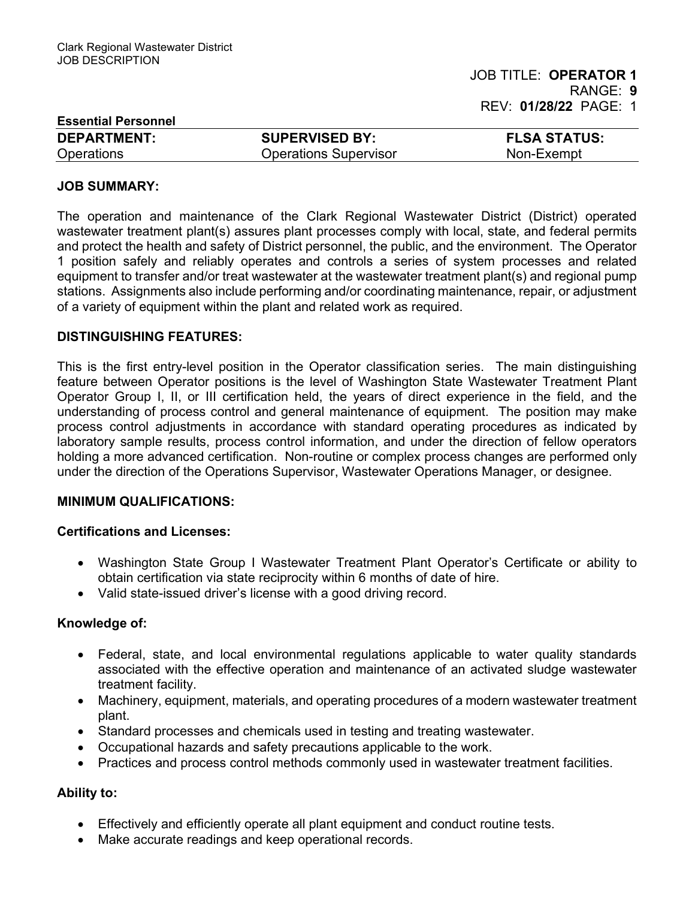| <b>Essential Personnel</b> |                              |                     |  |
|----------------------------|------------------------------|---------------------|--|
| <b>DEPARTMENT:</b>         | <b>SUPERVISED BY:</b>        | <b>FLSA STATUS:</b> |  |
| Operations                 | <b>Operations Supervisor</b> | Non-Exempt          |  |

### JOB SUMMARY:

The operation and maintenance of the Clark Regional Wastewater District (District) operated wastewater treatment plant(s) assures plant processes comply with local, state, and federal permits and protect the health and safety of District personnel, the public, and the environment. The Operator 1 position safely and reliably operates and controls a series of system processes and related equipment to transfer and/or treat wastewater at the wastewater treatment plant(s) and regional pump stations. Assignments also include performing and/or coordinating maintenance, repair, or adjustment of a variety of equipment within the plant and related work as required.

### DISTINGUISHING FEATURES:

This is the first entry-level position in the Operator classification series. The main distinguishing feature between Operator positions is the level of Washington State Wastewater Treatment Plant Operator Group I, II, or III certification held, the years of direct experience in the field, and the understanding of process control and general maintenance of equipment. The position may make process control adjustments in accordance with standard operating procedures as indicated by laboratory sample results, process control information, and under the direction of fellow operators holding a more advanced certification. Non-routine or complex process changes are performed only under the direction of the Operations Supervisor, Wastewater Operations Manager, or designee.

## MINIMUM QUALIFICATIONS:

### Certifications and Licenses:

- Washington State Group I Wastewater Treatment Plant Operator's Certificate or ability to obtain certification via state reciprocity within 6 months of date of hire.
- Valid state-issued driver's license with a good driving record.

#### Knowledge of:

- Federal, state, and local environmental regulations applicable to water quality standards associated with the effective operation and maintenance of an activated sludge wastewater treatment facility.
- Machinery, equipment, materials, and operating procedures of a modern wastewater treatment plant.
- Standard processes and chemicals used in testing and treating wastewater.
- Occupational hazards and safety precautions applicable to the work.
- Practices and process control methods commonly used in wastewater treatment facilities.

## Ability to:

- Effectively and efficiently operate all plant equipment and conduct routine tests.
- Make accurate readings and keep operational records.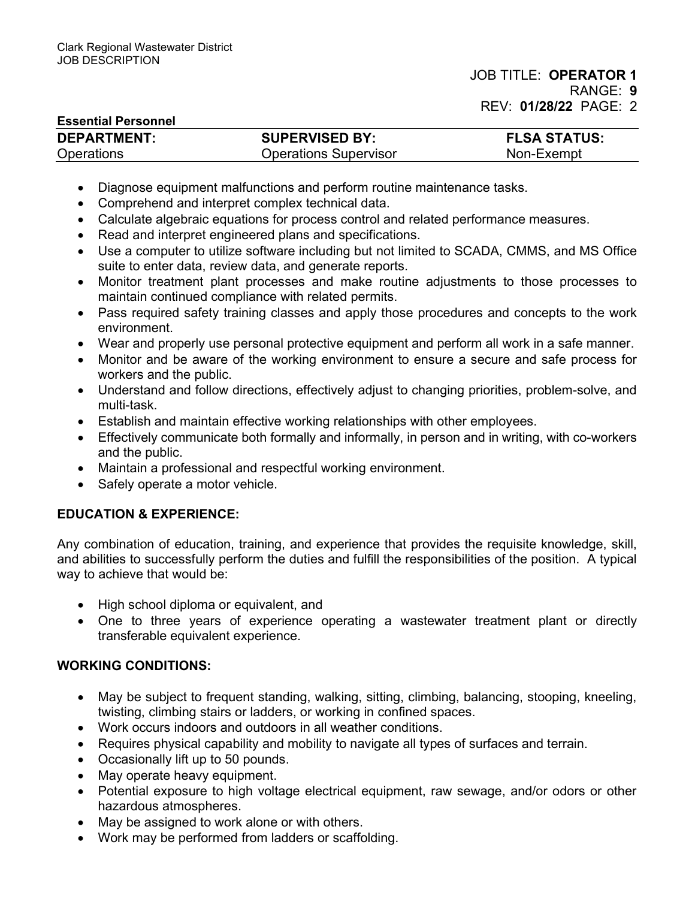## Essential Personnel

| _______________________ |                              |                     |  |
|-------------------------|------------------------------|---------------------|--|
| <b>DEPARTMENT:</b>      | <b>SUPERVISED BY:</b>        | <b>FLSA STATUS:</b> |  |
| <b>Operations</b>       | <b>Operations Supervisor</b> | Non-Exempt          |  |

- Diagnose equipment malfunctions and perform routine maintenance tasks.
- Comprehend and interpret complex technical data.
- Calculate algebraic equations for process control and related performance measures.
- Read and interpret engineered plans and specifications.
- Use a computer to utilize software including but not limited to SCADA, CMMS, and MS Office suite to enter data, review data, and generate reports.
- Monitor treatment plant processes and make routine adjustments to those processes to maintain continued compliance with related permits.
- Pass required safety training classes and apply those procedures and concepts to the work environment.
- Wear and properly use personal protective equipment and perform all work in a safe manner.
- Monitor and be aware of the working environment to ensure a secure and safe process for workers and the public.
- Understand and follow directions, effectively adjust to changing priorities, problem-solve, and multi-task.
- Establish and maintain effective working relationships with other employees.
- Effectively communicate both formally and informally, in person and in writing, with co-workers and the public.
- Maintain a professional and respectful working environment.
- Safely operate a motor vehicle.

# EDUCATION & EXPERIENCE:

Any combination of education, training, and experience that provides the requisite knowledge, skill, and abilities to successfully perform the duties and fulfill the responsibilities of the position. A typical way to achieve that would be:

- High school diploma or equivalent, and
- One to three years of experience operating a wastewater treatment plant or directly transferable equivalent experience.

# WORKING CONDITIONS:

- May be subject to frequent standing, walking, sitting, climbing, balancing, stooping, kneeling, twisting, climbing stairs or ladders, or working in confined spaces.
- Work occurs indoors and outdoors in all weather conditions.
- Requires physical capability and mobility to navigate all types of surfaces and terrain.
- Occasionally lift up to 50 pounds.
- May operate heavy equipment.
- Potential exposure to high voltage electrical equipment, raw sewage, and/or odors or other hazardous atmospheres.
- May be assigned to work alone or with others.
- Work may be performed from ladders or scaffolding.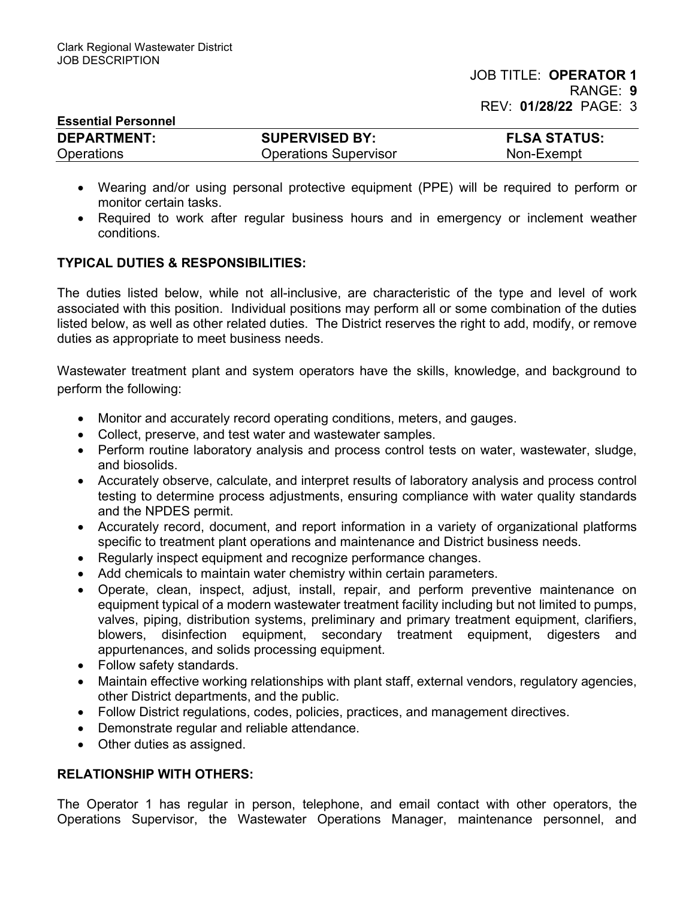| <b>Essential Personnel</b> |                              |                     |
|----------------------------|------------------------------|---------------------|
| <b>DEPARTMENT:</b>         | <b>SUPERVISED BY:</b>        | <b>FLSA STATUS:</b> |
| <b>Operations</b>          | <b>Operations Supervisor</b> | Non-Exempt          |

- Wearing and/or using personal protective equipment (PPE) will be required to perform or monitor certain tasks.
- Required to work after regular business hours and in emergency or inclement weather conditions.

## TYPICAL DUTIES & RESPONSIBILITIES:

The duties listed below, while not all-inclusive, are characteristic of the type and level of work associated with this position. Individual positions may perform all or some combination of the duties listed below, as well as other related duties. The District reserves the right to add, modify, or remove duties as appropriate to meet business needs.

Wastewater treatment plant and system operators have the skills, knowledge, and background to perform the following:

- Monitor and accurately record operating conditions, meters, and gauges.
- Collect, preserve, and test water and wastewater samples.
- Perform routine laboratory analysis and process control tests on water, wastewater, sludge, and biosolids.
- Accurately observe, calculate, and interpret results of laboratory analysis and process control testing to determine process adjustments, ensuring compliance with water quality standards and the NPDES permit.
- Accurately record, document, and report information in a variety of organizational platforms specific to treatment plant operations and maintenance and District business needs.
- Regularly inspect equipment and recognize performance changes.
- Add chemicals to maintain water chemistry within certain parameters.
- Operate, clean, inspect, adjust, install, repair, and perform preventive maintenance on equipment typical of a modern wastewater treatment facility including but not limited to pumps, valves, piping, distribution systems, preliminary and primary treatment equipment, clarifiers, blowers, disinfection equipment, secondary treatment equipment, digesters and appurtenances, and solids processing equipment.
- Follow safety standards.
- Maintain effective working relationships with plant staff, external vendors, regulatory agencies, other District departments, and the public.
- Follow District regulations, codes, policies, practices, and management directives.
- Demonstrate regular and reliable attendance.
- Other duties as assigned.

## RELATIONSHIP WITH OTHERS:

The Operator 1 has regular in person, telephone, and email contact with other operators, the Operations Supervisor, the Wastewater Operations Manager, maintenance personnel, and